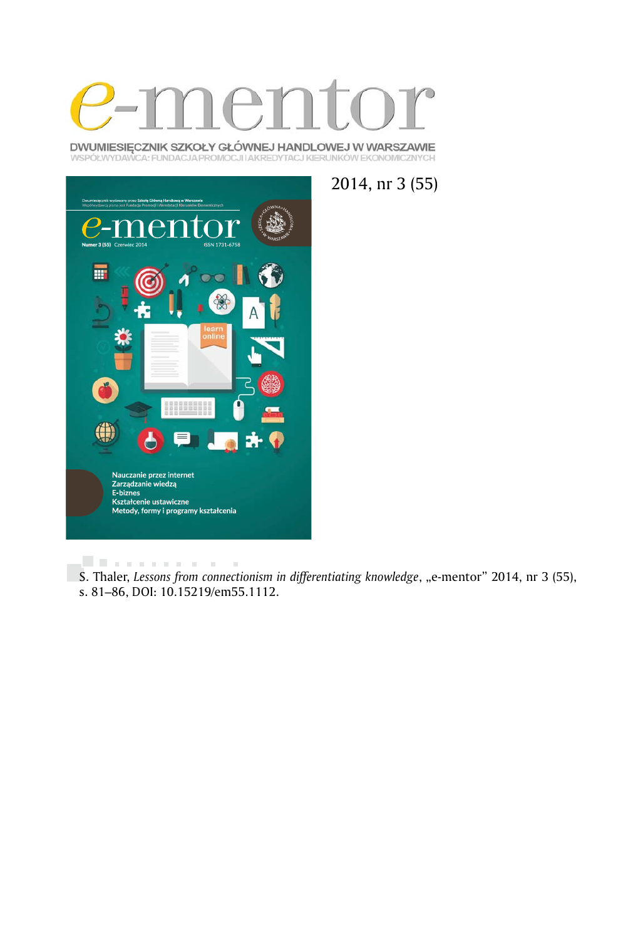

DWUMIESIĘCZNIK SZKOŁY GŁÓWNEJ HANDLOWEJ W WARSZAWIE WSPÓŁWYDAWCA: FUNDACJA PROMOCJI I AKREDYTACJ KIERUNKÓW EKONOMICZNYCH



2014, nr 3 (55)

. . . . . . . . . . .  $\sim$  10 S. Thaler, *Lessons from connectionism in differentiating knowledge*, "e-mentor" 2014, nr 3 (55), s. 81–86, DOI: 10.15219/em55.1112.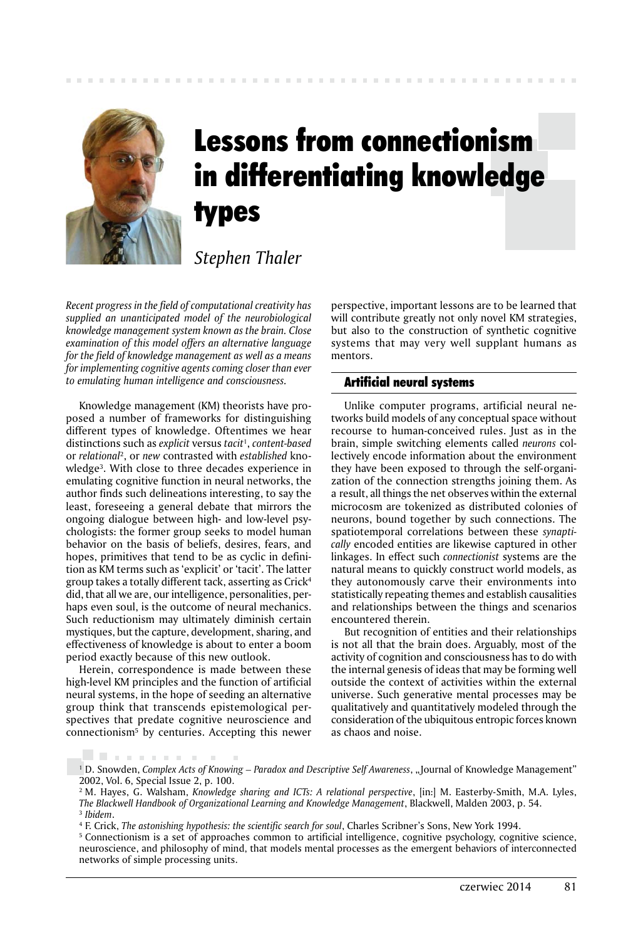

# Lessons from connectionism in differentiating knowledge types

*Stephen Thaler*

*Recent progress in the field of computational creativity has supplied an unanticipated model of the neurobiological knowledge management system known as the brain. Close examination of this model offers an alternative language for the field of knowledge management as well as a means for implementing cognitive agents coming closer than ever to emulating human intelligence and consciousness.*

Knowledge management (KM) theorists have proposed a number of frameworks for distinguishing different types of knowledge. Oftentimes we hear distinctions such as *explicit* versus *tacit*<sup>1</sup> , *content-based* or *relational*<sup>2</sup> , or *new* contrasted with *established* knowledge3 . With close to three decades experience in emulating cognitive function in neural networks, the author finds such delineations interesting, to say the least, foreseeing a general debate that mirrors the ongoing dialogue between high- and low-level psychologists: the former group seeks to model human behavior on the basis of beliefs, desires, fears, and hopes, primitives that tend to be as cyclic in definition as KM terms such as 'explicit' or 'tacit'. The latter group takes a totally different tack, asserting as Crick4 did, that all we are, our intelligence, personalities, perhaps even soul, is the outcome of neural mechanics. Such reductionism may ultimately diminish certain mystiques, but the capture, development, sharing, and effectiveness of knowledge is about to enter a boom period exactly because of this new outlook.

Herein, correspondence is made between these high-level KM principles and the function of artificial neural systems, in the hope of seeding an alternative group think that transcends epistemological perspectives that predate cognitive neuroscience and connectionism5 by centuries. Accepting this newer

. . . . . . . . .

perspective, important lessons are to be learned that will contribute greatly not only novel KM strategies, but also to the construction of synthetic cognitive systems that may very well supplant humans as mentors.

# Artificial neural systems

Unlike computer programs, artificial neural networks build models of any conceptual space without recourse to human-conceived rules. Just as in the brain, simple switching elements called *neurons* collectively encode information about the environment they have been exposed to through the self-organization of the connection strengths joining them. As a result, all things the net observes within the external microcosm are tokenized as distributed colonies of neurons, bound together by such connections. The spatiotemporal correlations between these *synaptically* encoded entities are likewise captured in other linkages. In effect such *connectionist* systems are the natural means to quickly construct world models, as they autonomously carve their environments into statistically repeating themes and establish causalities and relationships between the things and scenarios encountered therein.

But recognition of entities and their relationships is not all that the brain does. Arguably, most of the activity of cognition and consciousness has to do with the internal genesis of ideas that may be forming well outside the context of activities within the external universe. Such generative mental processes may be qualitatively and quantitatively modeled through the consideration of the ubiquitous entropic forces known as chaos and noise.

<sup>&</sup>lt;sup>1</sup> D. Snowden, *Complex Acts of Knowing – Paradox and Descriptive Self Awareness*, "Journal of Knowledge Management" 2002, Vol. 6, Special Issue 2, p. 100.

<sup>2</sup> M. Hayes, G. Walsham, *Knowledge sharing and ICTs: A relational perspective*, [in:] M. Easterby-Smith, M.A. Lyles, *The Blackwell Handbook of Organizational Learning and Knowledge Management*, Blackwell, Malden 2003, p. 54. <sup>3</sup>*Ibidem*.

<sup>4</sup> F. Crick, *The astonishing hypothesis: the scientific search for soul*, Charles Scribner's Sons, New York 1994.

<sup>5</sup> Connectionism is a set of approaches common to artificial intelligence, cognitive psychology, cognitive science, neuroscience, and philosophy of mind, that models mental processes as the emergent behaviors of interconnected networks of simple processing units.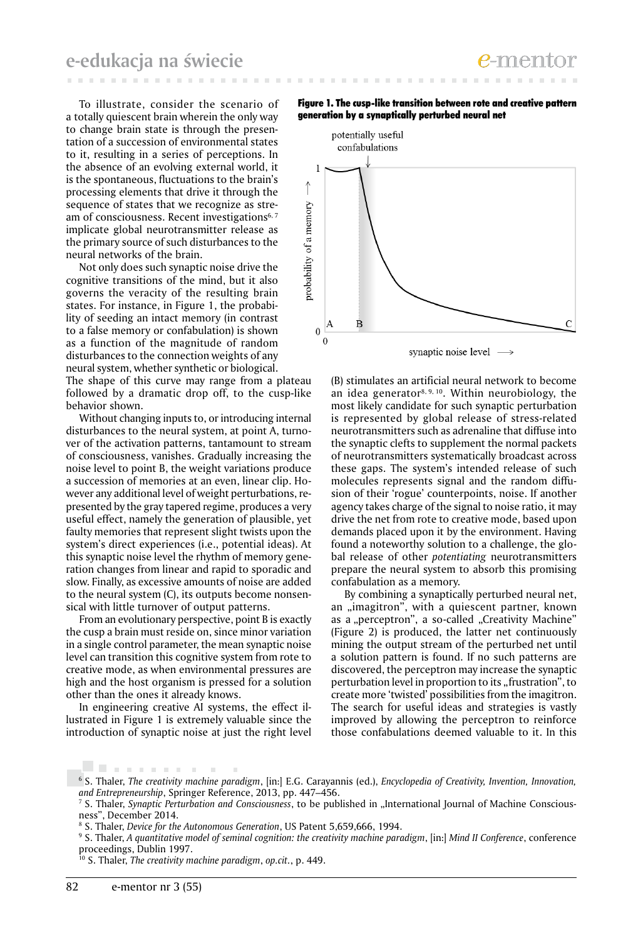To illustrate, consider the scenario of a totally quiescent brain wherein the only way to change brain state is through the presentation of a succession of environmental states to it, resulting in a series of perceptions. In the absence of an evolving external world, it is the spontaneous, fluctuations to the brain's processing elements that drive it through the sequence of states that we recognize as stream of consciousness. Recent investigations<sup>6, 7</sup> implicate global neurotransmitter release as the primary source of such disturbances to the neural networks of the brain.

Not only does such synaptic noise drive the cognitive transitions of the mind, but it also governs the veracity of the resulting brain states. For instance, in Figure 1, the probability of seeding an intact memory (in contrast to a false memory or confabulation) is shown as a function of the magnitude of random disturbances to the connection weights of any neural system, whether synthetic or biological.

The shape of this curve may range from a plateau followed by a dramatic drop off, to the cusp-like behavior shown.

Without changing inputs to, or introducing internal disturbances to the neural system, at point A, turnover of the activation patterns, tantamount to stream of consciousness, vanishes. Gradually increasing the noise level to point B, the weight variations produce a succession of memories at an even, linear clip. However any additional level of weight perturbations, represented by the gray tapered regime, produces a very useful effect, namely the generation of plausible, yet faulty memories that represent slight twists upon the system's direct experiences (i.e., potential ideas). At this synaptic noise level the rhythm of memory generation changes from linear and rapid to sporadic and slow. Finally, as excessive amounts of noise are added to the neural system (C), its outputs become nonsensical with little turnover of output patterns.

From an evolutionary perspective, point B is exactly the cusp a brain must reside on, since minor variation in a single control parameter, the mean synaptic noise level can transition this cognitive system from rote to creative mode, as when environmental pressures are high and the host organism is pressed for a solution other than the ones it already knows.

In engineering creative AI systems, the effect illustrated in Figure 1 is extremely valuable since the introduction of synaptic noise at just the right level





(B) stimulates an artificial neural network to become an idea generator<sup>8, 9, 10</sup>. Within neurobiology, the most likely candidate for such synaptic perturbation is represented by global release of stress-related neurotransmitters such as adrenaline that diffuse into the synaptic clefts to supplement the normal packets of neurotransmitters systematically broadcast across these gaps. The system's intended release of such molecules represents signal and the random diffusion of their 'rogue' counterpoints, noise. If another agency takes charge of the signal to noise ratio, it may drive the net from rote to creative mode, based upon demands placed upon it by the environment. Having found a noteworthy solution to a challenge, the global release of other *potentiating* neurotransmitters prepare the neural system to absorb this promising confabulation as a memory.

By combining a synaptically perturbed neural net, an "imagitron", with a quiescent partner, known as a "perceptron", a so-called "Creativity Machine" (Figure 2) is produced, the latter net continuously mining the output stream of the perturbed net until a solution pattern is found. If no such patterns are discovered, the perceptron may increase the synaptic perturbation level in proportion to its "frustration", to create more 'twisted' possibilities from the imagitron. The search for useful ideas and strategies is vastly improved by allowing the perceptron to reinforce those confabulations deemed valuable to it. In this

. . . . . . . . .

<sup>6</sup> S. Thaler, *The creativity machine paradigm*, [in:] E.G. Carayannis (ed.), *Encyclopedia of Creativity, Invention, Innovation, and Entrepreneurship*, Springer Reference, 2013, pp. 447–456.

<sup>&</sup>lt;sup>7</sup> S. Thaler, *Synaptic Perturbation and Consciousness*, to be published in "International Journal of Machine Consciousness", December 2014.

<sup>8</sup> S. Thaler, *Device for the Autonomous Generation*, US Patent 5,659,666, 1994.

<sup>9</sup> S. Thaler, *A quantitative model of seminal cognition: the creativity machine paradigm*, [in:] *Mind II Conference*, conference proceedings, Dublin 1997.

<sup>10</sup> S. Thaler, *The creativity machine paradigm*, *op.cit.*, p. 449.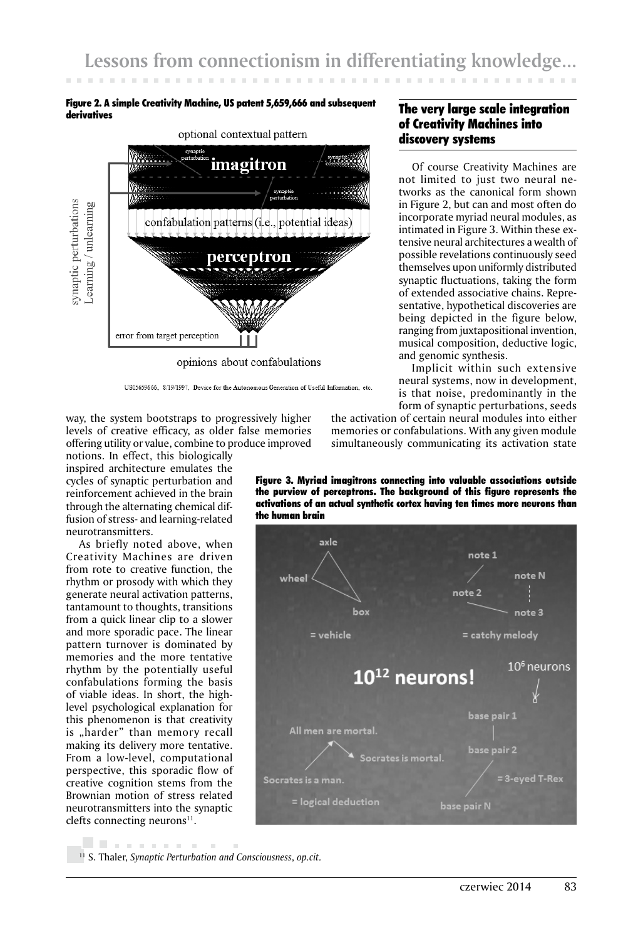## Figure 2. A simple Creativity Machine, US patent 5,659,666 and subsequent derivatives



opinions about confabulations

way, the system bootstraps to progressively higher levels of creative efficacy, as older false memories offering utility or value, combine to produce improved

notions. In effect, this biologically inspired architecture emulates the cycles of synaptic perturbation and reinforcement achieved in the brain through the alternating chemical diffusion of stress- and learning-related neurotransmitters.

As briefly noted above, when Creativity Machines are driven from rote to creative function, the rhythm or prosody with which they generate neural activation patterns, tantamount to thoughts, transitions from a quick linear clip to a slower and more sporadic pace. The linear pattern turnover is dominated by memories and the more tentative rhythm by the potentially useful confabulations forming the basis of viable ideas. In short, the highlevel psychological explanation for this phenomenon is that creativity is "harder" than memory recall making its delivery more tentative. From a low-level, computational perspective, this sporadic flow of creative cognition stems from the Brownian motion of stress related neurotransmitters into the synaptic clefts connecting neurons $11$ .

form of synaptic perturbations, seeds the activation of certain neural modules into either memories or confabulations. With any given module simultaneously communicating its activation state

Figure 3. Myriad imagitrons connecting into valuable associations outside the purview of perceptrons. The background of this figure represents the activations of an actual synthetic cortex having ten times more neurons than the human brain



. . . . . . . . . 11 S. Thaler, *Synaptic Perturbation and Consciousness*, *op.cit.*

Of course Creativity Machines are not limited to just two neural networks as the canonical form shown in Figure 2, but can and most often do incorporate myriad neural modules, as intimated in Figure 3. Within these extensive neural architectures a wealth of possible revelations continuously seed themselves upon uniformly distributed synaptic fluctuations, taking the form of extended associative chains. Representative, hypothetical discoveries are being depicted in the figure below, ranging from juxtapositional invention, musical composition, deductive logic, and genomic synthesis. Implicit within such extensive

neural systems, now in development, is that noise, predominantly in the

US05659666, 8/19/1997. Device for the Autonomous Generation of Useful Information, etc.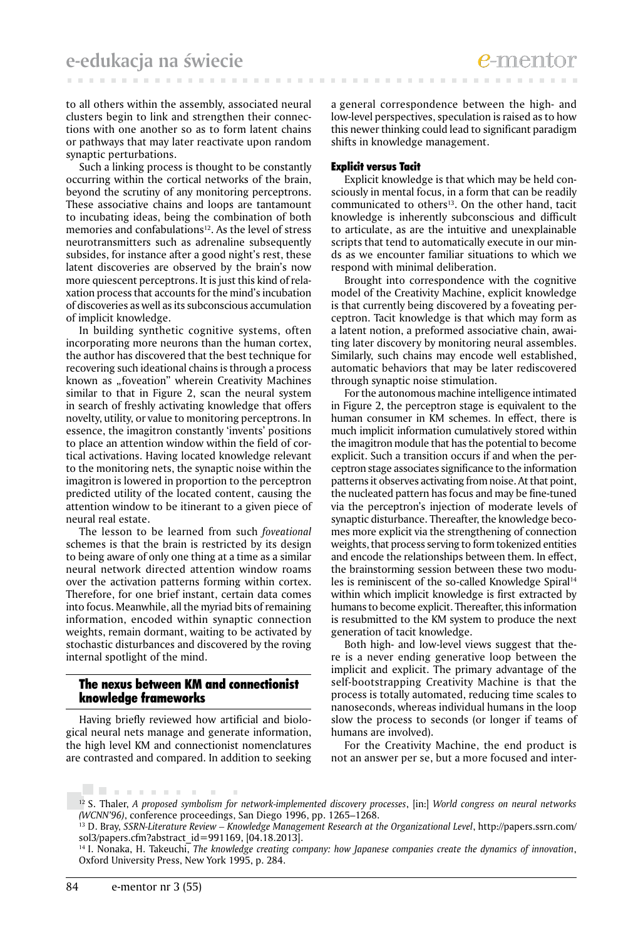to all others within the assembly, associated neural clusters begin to link and strengthen their connections with one another so as to form latent chains or pathways that may later reactivate upon random synaptic perturbations.

Such a linking process is thought to be constantly occurring within the cortical networks of the brain, beyond the scrutiny of any monitoring perceptrons. These associative chains and loops are tantamount to incubating ideas, being the combination of both memories and confabulations<sup>12</sup>. As the level of stress neurotransmitters such as adrenaline subsequently subsides, for instance after a good night's rest, these latent discoveries are observed by the brain's now more quiescent perceptrons. It is just this kind of relaxation process that accounts for the mind's incubation of discoveries as well as its subconscious accumulation of implicit knowledge.

In building synthetic cognitive systems, often incorporating more neurons than the human cortex, the author has discovered that the best technique for recovering such ideational chains is through a process known as "foveation" wherein Creativity Machines similar to that in Figure 2, scan the neural system in search of freshly activating knowledge that offers novelty, utility, or value to monitoring perceptrons. In essence, the imagitron constantly 'invents' positions to place an attention window within the field of cortical activations. Having located knowledge relevant to the monitoring nets, the synaptic noise within the imagitron is lowered in proportion to the perceptron predicted utility of the located content, causing the attention window to be itinerant to a given piece of neural real estate.

The lesson to be learned from such *foveational* schemes is that the brain is restricted by its design to being aware of only one thing at a time as a similar neural network directed attention window roams over the activation patterns forming within cortex. Therefore, for one brief instant, certain data comes into focus. Meanwhile, all the myriad bits of remaining information, encoded within synaptic connection weights, remain dormant, waiting to be activated by stochastic disturbances and discovered by the roving internal spotlight of the mind.

# The nexus between KM and connectionist knowledge frameworks

Having briefly reviewed how artificial and biological neural nets manage and generate information, the high level KM and connectionist nomenclatures are contrasted and compared. In addition to seeking

a general correspondence between the high- and low-level perspectives, speculation is raised as to how this newer thinking could lead to significant paradigm shifts in knowledge management.

## Explicit versus Tacit

Explicit knowledge is that which may be held consciously in mental focus, in a form that can be readily communicated to others<sup>13</sup>. On the other hand, tacit knowledge is inherently subconscious and difficult to articulate, as are the intuitive and unexplainable scripts that tend to automatically execute in our minds as we encounter familiar situations to which we respond with minimal deliberation.

Brought into correspondence with the cognitive model of the Creativity Machine, explicit knowledge is that currently being discovered by a foveating perceptron. Tacit knowledge is that which may form as a latent notion, a preformed associative chain, awaiting later discovery by monitoring neural assembles. Similarly, such chains may encode well established, automatic behaviors that may be later rediscovered through synaptic noise stimulation.

For the autonomous machine intelligence intimated in Figure 2, the perceptron stage is equivalent to the human consumer in KM schemes. In effect, there is much implicit information cumulatively stored within the imagitron module that has the potential to become explicit. Such a transition occurs if and when the perceptron stage associates significance to the information patterns it observes activating from noise. At that point, the nucleated pattern has focus and may be fine-tuned via the perceptron's injection of moderate levels of synaptic disturbance. Thereafter, the knowledge becomes more explicit via the strengthening of connection weights, that process serving to form tokenized entities and encode the relationships between them. In effect, the brainstorming session between these two modules is reminiscent of the so-called Knowledge Spiral<sup>14</sup> within which implicit knowledge is first extracted by humans to become explicit. Thereafter, this information is resubmitted to the KM system to produce the next generation of tacit knowledge.

Both high- and low-level views suggest that there is a never ending generative loop between the implicit and explicit. The primary advantage of the self-bootstrapping Creativity Machine is that the process is totally automated, reducing time scales to nanoseconds, whereas individual humans in the loop slow the process to seconds (or longer if teams of humans are involved).

For the Creativity Machine, the end product is not an answer per se, but a more focused and inter-

<sup>. . . . . . . .</sup> 12 S. Thaler, *A proposed symbolism for network-implemented discovery processes*, [in:] *World congress on neural networks (WCNN'96)*, conference proceedings, San Diego 1996, pp. 1265–1268.

<sup>13</sup> D. Bray, *SSRN-Literature Review – Knowledge Management Research at the Organizational Level*, http://papers.ssrn.com/ sol3/papers.cfm?abstract\_id=991169, [04.18.2013].

<sup>14</sup> I. Nonaka, H. Takeuchi, *The knowledge creating company: how Japanese companies create the dynamics of innovation*, Oxford University Press, New York 1995, p. 284.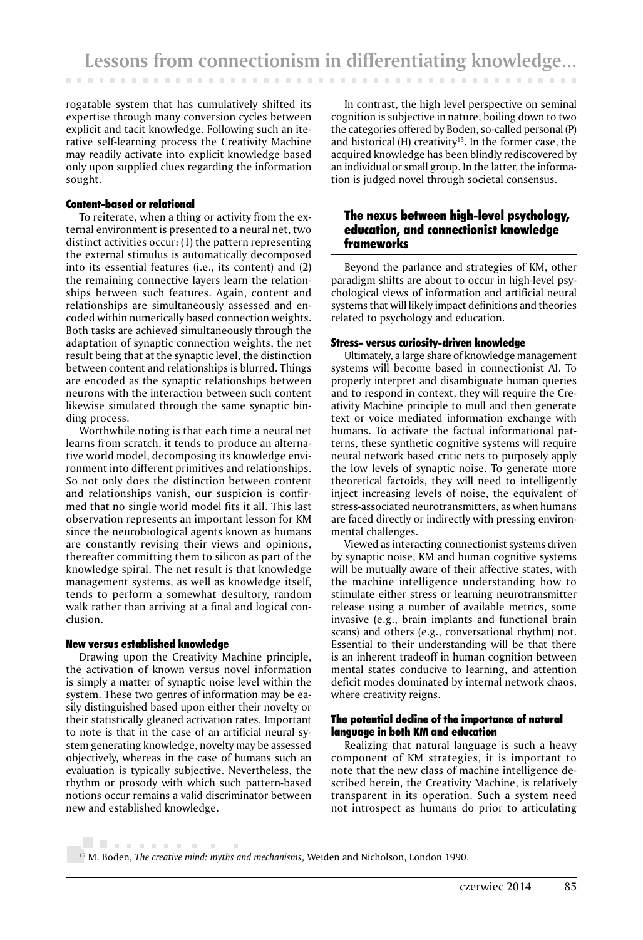rogatable system that has cumulatively shifted its expertise through many conversion cycles between explicit and tacit knowledge. Following such an iterative self-learning process the Creativity Machine may readily activate into explicit knowledge based only upon supplied clues regarding the information sought.

## Content-based or relational

To reiterate, when a thing or activity from the external environment is presented to a neural net, two distinct activities occur: (1) the pattern representing the external stimulus is automatically decomposed into its essential features (i.e., its content) and (2) the remaining connective layers learn the relationships between such features. Again, content and relationships are simultaneously assessed and encoded within numerically based connection weights. Both tasks are achieved simultaneously through the adaptation of synaptic connection weights, the net result being that at the synaptic level, the distinction between content and relationships is blurred. Things are encoded as the synaptic relationships between neurons with the interaction between such content likewise simulated through the same synaptic binding process.

Worthwhile noting is that each time a neural net learns from scratch, it tends to produce an alternative world model, decomposing its knowledge environment into different primitives and relationships. So not only does the distinction between content and relationships vanish, our suspicion is confirmed that no single world model fits it all. This last observation represents an important lesson for KM since the neurobiological agents known as humans are constantly revising their views and opinions, thereafter committing them to silicon as part of the knowledge spiral. The net result is that knowledge management systems, as well as knowledge itself, tends to perform a somewhat desultory, random walk rather than arriving at a final and logical conclusion.

#### New versus established knowledge

. . . . . . . . . .

Drawing upon the Creativity Machine principle, the activation of known versus novel information is simply a matter of synaptic noise level within the system. These two genres of information may be easily distinguished based upon either their novelty or their statistically gleaned activation rates. Important to note is that in the case of an artificial neural system generating knowledge, novelty may be assessed objectively, whereas in the case of humans such an evaluation is typically subjective. Nevertheless, the rhythm or prosody with which such pattern-based notions occur remains a valid discriminator between new and established knowledge.

In contrast, the high level perspective on seminal cognition is subjective in nature, boiling down to two the categories offered by Boden, so-called personal (P) and historical  $(H)$  creativity<sup>15</sup>. In the former case, the acquired knowledge has been blindly rediscovered by an individual or small group. In the latter, the information is judged novel through societal consensus.

# The nexus between high-level psychology, education, and connectionist knowledge frameworks

Beyond the parlance and strategies of KM, other paradigm shifts are about to occur in high-level psychological views of information and artificial neural systems that will likely impact definitions and theories related to psychology and education.

## Stress- versus curiosity-driven knowledge

Ultimately, a large share of knowledge management systems will become based in connectionist AI. To properly interpret and disambiguate human queries and to respond in context, they will require the Creativity Machine principle to mull and then generate text or voice mediated information exchange with humans. To activate the factual informational patterns, these synthetic cognitive systems will require neural network based critic nets to purposely apply the low levels of synaptic noise. To generate more theoretical factoids, they will need to intelligently inject increasing levels of noise, the equivalent of stress-associated neurotransmitters, as when humans are faced directly or indirectly with pressing environmental challenges.

Viewed as interacting connectionist systems driven by synaptic noise, KM and human cognitive systems will be mutually aware of their affective states, with the machine intelligence understanding how to stimulate either stress or learning neurotransmitter release using a number of available metrics, some invasive (e.g., brain implants and functional brain scans) and others (e.g., conversational rhythm) not. Essential to their understanding will be that there is an inherent tradeoff in human cognition between mental states conducive to learning, and attention deficit modes dominated by internal network chaos, where creativity reigns.

## The potential decline of the importance of natural language in both KM and education

Realizing that natural language is such a heavy component of KM strategies, it is important to note that the new class of machine intelligence described herein, the Creativity Machine, is relatively transparent in its operation. Such a system need not introspect as humans do prior to articulating

15 M. Boden, *The creative mind: myths and mechanisms*, Weiden and Nicholson, London 1990.